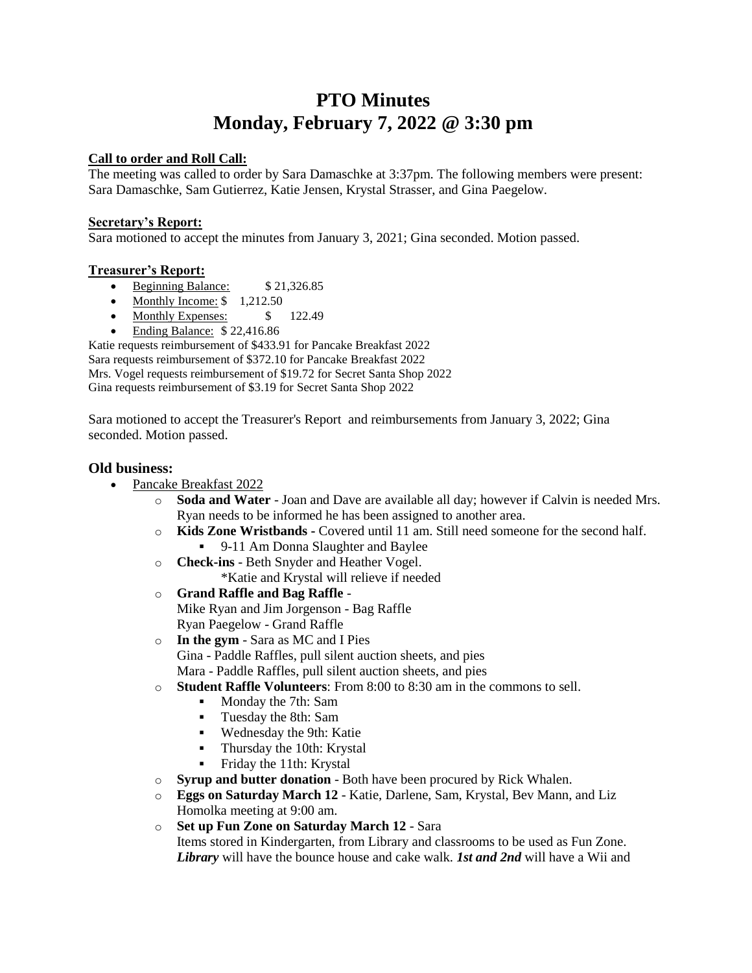# **PTO Minutes Monday, February 7, 2022 @ 3:30 pm**

### **Call to order and Roll Call:**

The meeting was called to order by Sara Damaschke at 3:37pm. The following members were present: Sara Damaschke, Sam Gutierrez, Katie Jensen, Krystal Strasser, and Gina Paegelow.

#### **Secretary's Report:**

Sara motioned to accept the minutes from January 3, 2021; Gina seconded. Motion passed.

#### **Treasurer's Report:**

- Beginning Balance: \$21,326.85
- Monthly Income:  $$ 1,212.50$
- Monthly Expenses:  $$ 122.49$
- Ending Balance: \$ 22,416.86

Katie requests reimbursement of \$433.91 for Pancake Breakfast 2022 Sara requests reimbursement of \$372.10 for Pancake Breakfast 2022 Mrs. Vogel requests reimbursement of \$19.72 for Secret Santa Shop 2022 Gina requests reimbursement of \$3.19 for Secret Santa Shop 2022

Sara motioned to accept the Treasurer's Report and reimbursements from January 3, 2022; Gina seconded. Motion passed.

#### **Old business:**

- Pancake Breakfast 2022
	- o **Soda and Water**  Joan and Dave are available all day; however if Calvin is needed Mrs. Ryan needs to be informed he has been assigned to another area.
	- o **Kids Zone Wristbands -** Covered until 11 am. Still need someone for the second half. ■ 9-11 Am Donna Slaughter and Baylee
	- o **Check-ins**  Beth Snyder and Heather Vogel. \*Katie and Krystal will relieve if needed
	- o **Grand Raffle and Bag Raffle** Mike Ryan and Jim Jorgenson - Bag Raffle Ryan Paegelow - Grand Raffle
	- o **In the gym** Sara as MC and I Pies Gina - Paddle Raffles, pull silent auction sheets, and pies Mara - Paddle Raffles, pull silent auction sheets, and pies
	- o **Student Raffle Volunteers**: From 8:00 to 8:30 am in the commons to sell.
		- Monday the 7th: Sam
			- Tuesday the 8th: Sam
			- Wednesday the 9th: Katie
			- **•** Thursday the 10th: Krystal
			- Friday the 11th: Krystal
	- o **Syrup and butter donation** Both have been procured by Rick Whalen.
	- o **Eggs on Saturday March 12**  Katie, Darlene, Sam, Krystal, Bev Mann, and Liz Homolka meeting at 9:00 am.
	- o **Set up Fun Zone on Saturday March 12** Sara Items stored in Kindergarten, from Library and classrooms to be used as Fun Zone. *Library* will have the bounce house and cake walk. *1st and 2nd* will have a Wii and